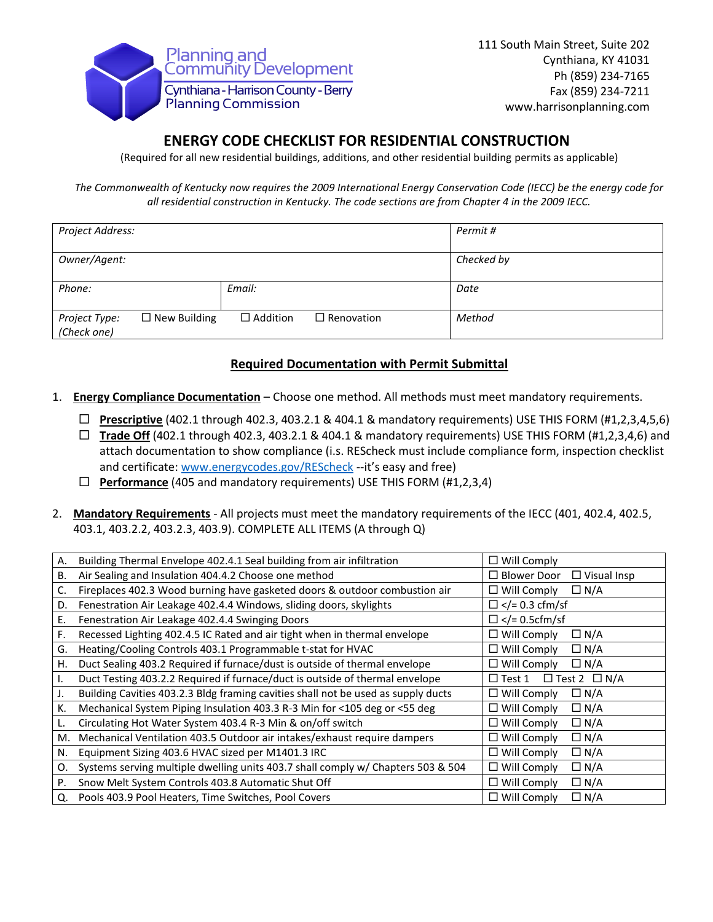

## **ENERGY CODE CHECKLIST FOR RESIDENTIAL CONSTRUCTION**

(Required for all new residential buildings, additions, and other residential building permits as applicable)

*The Commonwealth of Kentucky now requires the 2009 International Energy Conservation Code (IECC) be the energy code for all residential construction in Kentucky. The code sections are from Chapter 4 in the 2009 IECC.*

| Project Address:             |                     |                 |                   | Permit #   |
|------------------------------|---------------------|-----------------|-------------------|------------|
| Owner/Agent:                 |                     |                 |                   | Checked by |
| Phone:                       |                     | Email:          |                   | Date       |
| Project Type:<br>(Check one) | $\Box$ New Building | $\Box$ Addition | $\Box$ Renovation | Method     |

## **Required Documentation with Permit Submittal**

- 1. **Energy Compliance Documentation** Choose one method. All methods must meet mandatory requirements.
	- **Prescriptive** (402.1 through 402.3, 403.2.1 & 404.1 & mandatory requirements) USE THIS FORM (#1,2,3,4,5,6)
	- **Trade Off** (402.1 through 402.3, 403.2.1 & 404.1 & mandatory requirements) USE THIS FORM (#1,2,3,4,6) and attach documentation to show compliance (i.s. REScheck must include compliance form, inspection checklist and certificate[: www.energycodes.gov/REScheck](http://www.energycodes.gov/REScheck) --it's easy and free)
	- **Performance** (405 and mandatory requirements) USE THIS FORM (#1,2,3,4)
- 2. **Mandatory Requirements** All projects must meet the mandatory requirements of the IECC (401, 402.4, 402.5, 403.1, 403.2.2, 403.2.3, 403.9). COMPLETE ALL ITEMS (A through Q)

| А. | Building Thermal Envelope 402.4.1 Seal building from air infiltration             | $\Box$ Will Comply                           |
|----|-----------------------------------------------------------------------------------|----------------------------------------------|
| В. | Air Sealing and Insulation 404.4.2 Choose one method                              | $\square$ Blower Door<br>$\Box$ Visual Insp  |
| C. | Fireplaces 402.3 Wood burning have gasketed doors & outdoor combustion air        | $\Box$ Will Comply<br>$\Box N/A$             |
| D. | Fenestration Air Leakage 402.4.4 Windows, sliding doors, skylights                | $\Box$ = 0.3 cfm/sf</td                      |
| Ε. | Fenestration Air Leakage 402.4.4 Swinging Doors                                   | $\Box$ = 0.5cfm/sf</td                       |
| F. | Recessed Lighting 402.4.5 IC Rated and air tight when in thermal envelope         | $\Box$ Will Comply<br>$\Box N/A$             |
| G. | Heating/Cooling Controls 403.1 Programmable t-stat for HVAC                       | $\Box$ Will Comply<br>$\Box N/A$             |
| Н. | Duct Sealing 403.2 Required if furnace/dust is outside of thermal envelope        | $\Box$ Will Comply<br>$\Box N/A$             |
| Ι. | Duct Testing 403.2.2 Required if furnace/duct is outside of thermal envelope      | $\Box$ Test 2 $\Box$ N/A<br>$\square$ Test 1 |
| J. | Building Cavities 403.2.3 Bldg framing cavities shall not be used as supply ducts | $\Box$ Will Comply<br>$\Box N/A$             |
| К. | Mechanical System Piping Insulation 403.3 R-3 Min for <105 deg or <55 deg         | $\Box$ Will Comply<br>$\Box N/A$             |
| L. | Circulating Hot Water System 403.4 R-3 Min & on/off switch                        | $\Box N/A$<br>$\Box$ Will Comply             |
| M. | Mechanical Ventilation 403.5 Outdoor air intakes/exhaust require dampers          | $\Box N/A$<br>$\Box$ Will Comply             |
| N. | Equipment Sizing 403.6 HVAC sized per M1401.3 IRC                                 | $\Box$ Will Comply<br>$\Box N/A$             |
| Ο. | Systems serving multiple dwelling units 403.7 shall comply w/ Chapters 503 & 504  | $\Box$ Will Comply<br>$\Box N/A$             |
| P. | Snow Melt System Controls 403.8 Automatic Shut Off                                | $\Box N/A$<br>$\Box$ Will Comply             |
| Q. | Pools 403.9 Pool Heaters, Time Switches, Pool Covers                              | $\Box$ Will Comply<br>$\Box N/A$             |